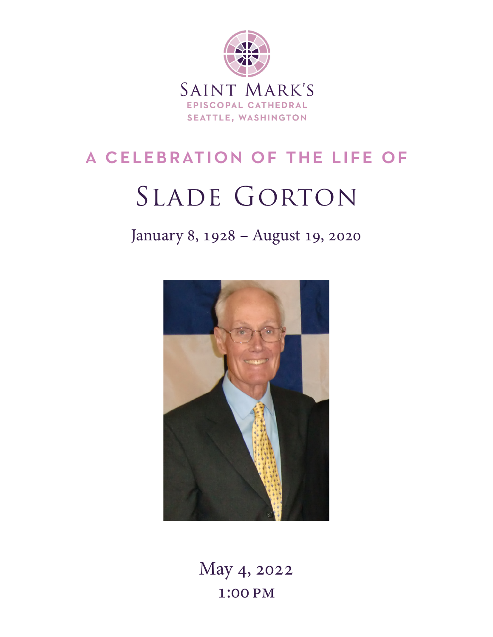

# a celebration of the life of

# SLADE GORTON

January 8, 1928 – August 19, 2020



May 4, 2022 1:00 pm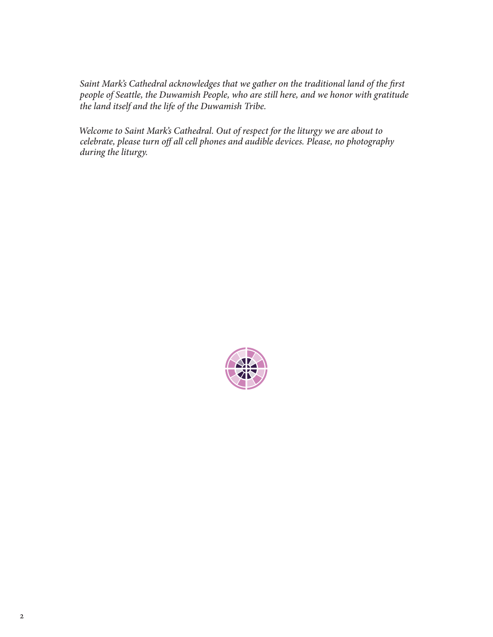*Saint Mark's Cathedral acknowledges that we gather on the traditional land of the first people of Seattle, the Duwamish People, who are still here, and we honor with gratitude the land itself and the life of the Duwamish Tribe.*

*Welcome to Saint Mark's Cathedral. Out of respect for the liturgy we are about to celebrate, please turn off all cell phones and audible devices. Please, no photography during the liturgy.*

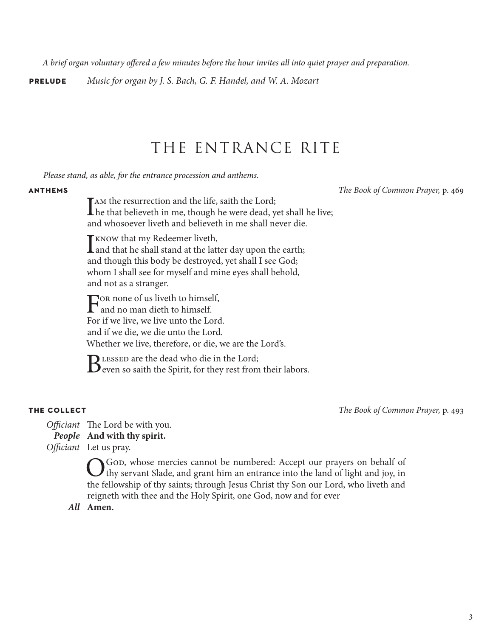*A brief organ voluntary offered a few minutes before the hour invites all into quiet prayer and preparation.*

**prelude** *Music for organ by J. S. Bach, G. F. Handel, and W. A. Mozart*

## THE ENTRANCE RITE

*Please stand, as able, for the entrance procession and anthems.*

**anthems** *The Book of Common Prayer,* p. 469

I am the resurrection and the life, saith the Lord;<br>he that believeth in me, though he were dead, yet shall he live; and whosoever liveth and believeth in me shall never die.

 $\prod$  know that my Redeemer liveth,<br>and that he shall stand at the latter day upon the earth; and though this body be destroyed, yet shall I see God; whom I shall see for myself and mine eyes shall behold, and not as a stranger.

For none of us liveth to himself,<br>and no man dieth to himself. For if we live, we live unto the Lord. and if we die, we die unto the Lord. Whether we live, therefore, or die, we are the Lord's.

BLESSED are the dead who die in the Lord;<br>Beven so saith the Spirit, for they rest from their labors.

**the collect** *The Book of Common Prayer,* p. 493

*Officiant* The Lord be with you. *People* **And with thy spirit.** *Officiant* Let us pray.

> O God, whose mercies cannot be numbered: Accept our prayers on behalf of thy servant Slade, and grant him an entrance into the land of light and joy, in the fellowship of thy saints; through Jesus Christ thy Son our Lord, who liveth and reigneth with thee and the Holy Spirit, one God, now and for ever

*All* **Amen.**

3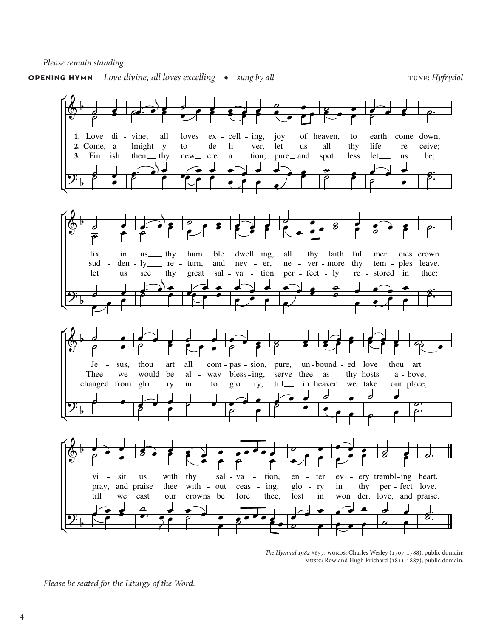*Please remain standing.*

### **OPENING HYMN** *Love divine, all loves excelling ◆ sung by all* tune: *Hyfrydol*



*The Hymnal 1982* #657, words: Charles Wesley (1707-1788), public domain; music: Rowland Hugh Prichard (1811-1887); public domain.

*Please be seated for the Liturgy of the Word.*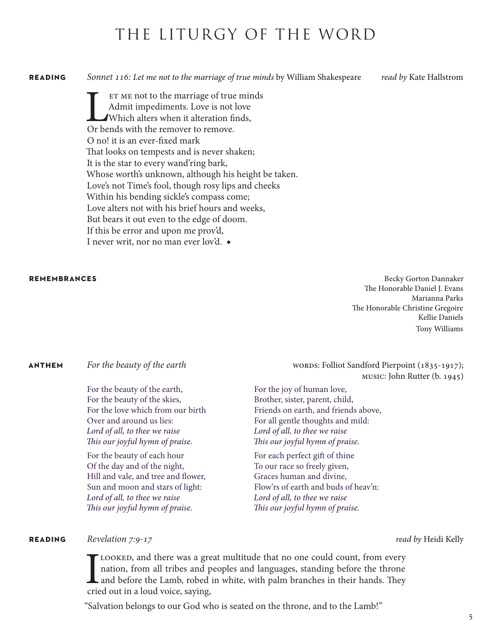## THE LITURGY OF THE WORD

**reading** *Sonnet 116: Let me not to the marriage of true minds* by William Shakespeare *read by* Kate Hallstrom

ET ME not to the marriage of true minds<br>Admit impediments. Love is not love<br>Which alters when it alteration finds,<br>Or bends with the remover to remove. Admit impediments. Love is not love Which alters when it alteration finds, Or bends with the remover to remove. O no! it is an ever-fixed mark That looks on tempests and is never shaken; It is the star to every wand'ring bark, Whose worth's unknown, although his height be taken. Love's not Time's fool, though rosy lips and cheeks Within his bending sickle's compass come; Love alters not with his brief hours and weeks, But bears it out even to the edge of doom. If this be error and upon me prov'd, I never writ, nor no man ever lov'd. ◆

**REMEMBRANCES** Becky Gorton Dannaker The Honorable Daniel J. Evans Marianna Parks The Honorable Christine Gregoire Kellie Daniels Tony Williams

For the beauty of the earth, For the beauty of the skies, For the love which from our birth Over and around us lies: *Lord of all, to thee we raise This our joyful hymn of praise.*

For the beauty of each hour Of the day and of the night, Hill and vale, and tree and flower, Sun and moon and stars of light: *Lord of all, to thee we raise This our joyful hymn of praise.*

**ANTHEM** *For the beauty of the earth* words: Folliot Sandford Pierpoint (1835-1917); music: John Rutter (b. 1945)

> For the joy of human love, Brother, sister, parent, child, Friends on earth, and friends above, For all gentle thoughts and mild: *Lord of all, to thee we raise This our joyful hymn of praise.*

For each perfect gift of thine To our race so freely given, Graces human and divine, Flow'rs of earth and buds of heav'n: *Lord of all, to thee we raise This our joyful hymn of praise.*

#### **reading** *Revelation 7:9-17 read by* Heidi Kelly

I LOOKED, and there was a great multitude that no one could count, from every nation, from all tribes and peoples and languages, standing before the throne and before the Lamb, robed in white, with palm branches in their h nation, from all tribes and peoples and languages, standing before the throne and before the Lamb, robed in white, with palm branches in their hands. They cried out in a loud voice, saying,

"Salvation belongs to our God who is seated on the throne, and to the Lamb!"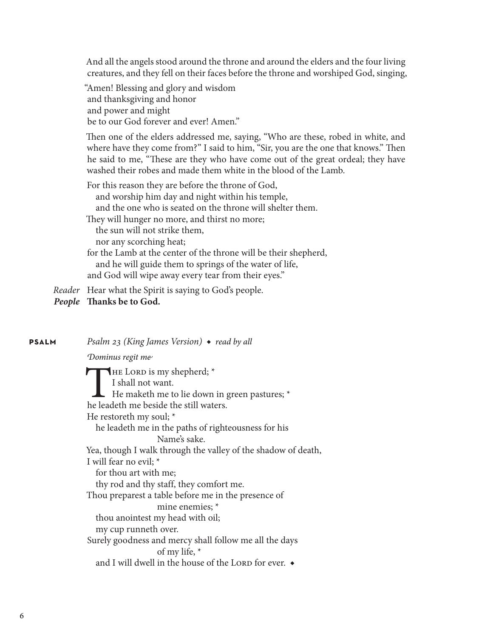And all the angels stood around the throne and around the elders and the four living creatures, and they fell on their faces before the throne and worshiped God, singing,

"Amen! Blessing and glory and wisdom and thanksgiving and honor and power and might be to our God forever and ever! Amen."

Then one of the elders addressed me, saying, "Who are these, robed in white, and where have they come from?" I said to him, "Sir, you are the one that knows." Then he said to me, "These are they who have come out of the great ordeal; they have washed their robes and made them white in the blood of the Lamb.

For this reason they are before the throne of God, and worship him day and night within his temple, and the one who is seated on the throne will shelter them. They will hunger no more, and thirst no more; the sun will not strike them, nor any scorching heat; for the Lamb at the center of the throne will be their shepherd, and he will guide them to springs of the water of life, and God will wipe away every tear from their eyes."

*Reader* Hear what the Spirit is saying to God's people.

*People* **Thanks be to God.**

**psalm** *Psalm 23 (King James Version)* ◆ *read by all*

*Dominus regit me*

 $\blacksquare$ HE LORD is my shepherd;  $*$ I shall not want.  $\mathsf{\mathsf{L}}$  He maketh me to lie down in green pastures; \* he leadeth me beside the still waters. He restoreth my soul; \* he leadeth me in the paths of righteousness for his Name's sake. Yea, though I walk through the valley of the shadow of death, I will fear no evil; \* for thou art with me; thy rod and thy staff, they comfort me. Thou preparest a table before me in the presence of mine enemies; \* thou anointest my head with oil; my cup runneth over. Surely goodness and mercy shall follow me all the days of my life, \* and I will dwell in the house of the LORD for ever.  $\bullet$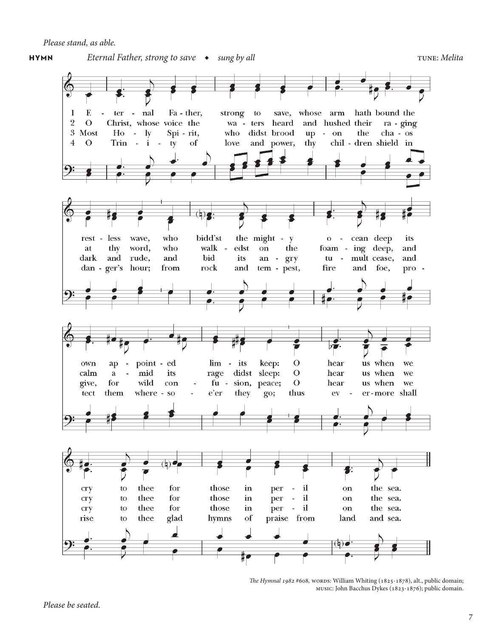## **hymn** Eternal Father, strong to save ◆ *sung by all* tune: *mag by all* tune: *Melita*





*The Hymnal 1982* #608, WORDS: William Whiting (1825-1878), alt., public domain; music: John Bacchus Dykes (1823-1876); public domain.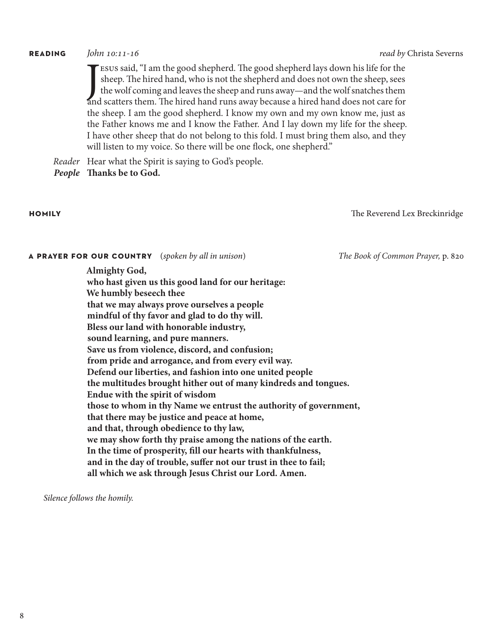#### **reading** *John 10:11-16 read by* Christa Severns

ESUS said, "I am the good shepherd. The good shepherd lays down his life for the sheep. The hired hand, who is not the shepherd and does not own the sheep, sees the wolf coming and leaves the sheep and runs away—and the wo Esus said, "I am the good shepherd. The good shepherd lays down his life for the sheep. The hired hand, who is not the shepherd and does not own the sheep, sees the wolf coming and leaves the sheep and runs away—and the wolf snatches them the sheep. I am the good shepherd. I know my own and my own know me, just as the Father knows me and I know the Father. And I lay down my life for the sheep. I have other sheep that do not belong to this fold. I must bring them also, and they will listen to my voice. So there will be one flock, one shepherd."

*Reader* Hear what the Spirit is saying to God's people.

*People* **Thanks be to God.**

**homily**The Reverend Lex Breckinridge

### **a prayer for our country**(*spoken by all in unison*) *The Book of Common Prayer,* p. 820

**Almighty God,** 

**who hast given us this good land for our heritage: We humbly beseech thee that we may always prove ourselves a people mindful of thy favor and glad to do thy will. Bless our land with honorable industry, sound learning, and pure manners. Save us from violence, discord, and confusion; from pride and arrogance, and from every evil way. Defend our liberties, and fashion into one united people the multitudes brought hither out of many kindreds and tongues. Endue with the spirit of wisdom those to whom in thy Name we entrust the authority of government, that there may be justice and peace at home, and that, through obedience to thy law, we may show forth thy praise among the nations of the earth. In the time of prosperity, fill our hearts with thankfulness, and in the day of trouble, suffer not our trust in thee to fail; all which we ask through Jesus Christ our Lord. Amen.**

*Silence follows the homily.*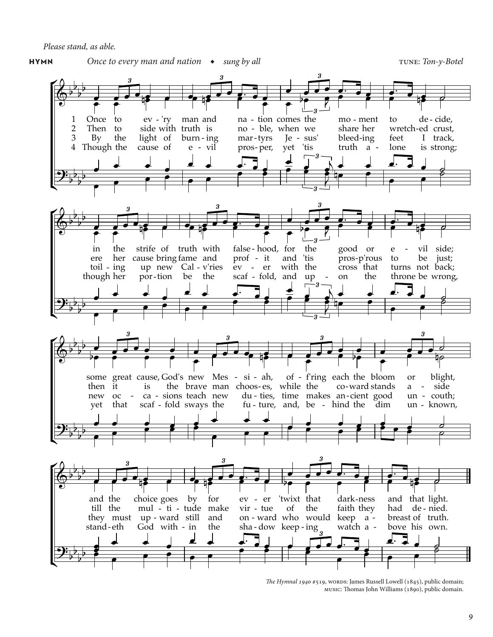*Please stand, as able.*



*The Hymnal 1940* #519, WORDS: James Russell Lowell (1845), public domain; music: Thomas John Williams (1890), public domain.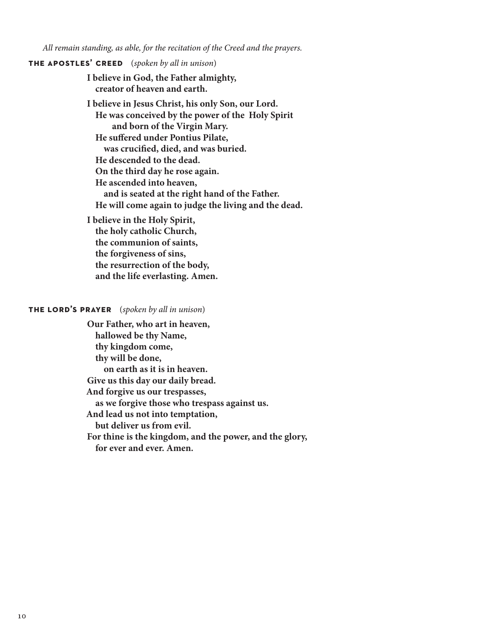*All remain standing, as able, for the recitation of the Creed and the prayers.*

### **the apostles' creed**(*spoken by all in unison*)

**I believe in God, the Father almighty, creator of heaven and earth.**

**I believe in Jesus Christ, his only Son, our Lord. He was conceived by the power of the Holy Spirit and born of the Virgin Mary. He suffered under Pontius Pilate, was crucified, died, and was buried. He descended to the dead. On the third day he rose again. He ascended into heaven, and is seated at the right hand of the Father. He will come again to judge the living and the dead.**

**I believe in the Holy Spirit, the holy catholic Church, the communion of saints, the forgiveness of sins, the resurrection of the body, and the life everlasting. Amen.**

### **the lord's prayer**(*spoken by all in unison*)

**Our Father, who art in heaven, hallowed be thy Name, thy kingdom come, thy will be done, on earth as it is in heaven. Give us this day our daily bread. And forgive us our trespasses, as we forgive those who trespass against us. And lead us not into temptation, but deliver us from evil. For thine is the kingdom, and the power, and the glory, for ever and ever. Amen.**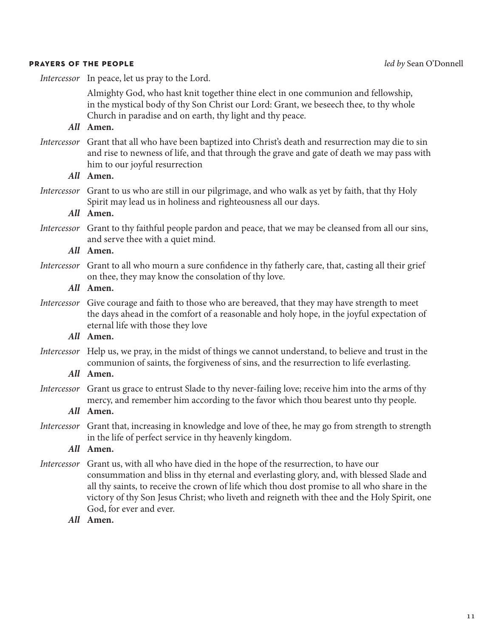#### **prayers of the people** *led by* Sean O'Donnell

*Intercessor* In peace, let us pray to the Lord.

Almighty God, who hast knit together thine elect in one communion and fellowship, in the mystical body of thy Son Christ our Lord: Grant, we beseech thee, to thy whole Church in paradise and on earth, thy light and thy peace.

### *All* **Amen.**

*Intercessor* Grant that all who have been baptized into Christ's death and resurrection may die to sin and rise to newness of life, and that through the grave and gate of death we may pass with him to our joyful resurrection

| All Amen.                                                                                                                                                                                                                           |
|-------------------------------------------------------------------------------------------------------------------------------------------------------------------------------------------------------------------------------------|
| Intercessor Grant to us who are still in our pilgrimage, and who walk as yet by faith, that thy Holy<br>Spirit may lead us in holiness and righteousness all our days.                                                              |
| All Amen.                                                                                                                                                                                                                           |
| Intercessor Grant to thy faithful people pardon and peace, that we may be cleansed from all our sins,<br>and serve thee with a quiet mind.                                                                                          |
| All Amen.                                                                                                                                                                                                                           |
| <i>Intercessor</i> Grant to all who mourn a sure confidence in thy fatherly care, that, casting all their grief<br>on thee, they may know the consolation of thy love.                                                              |
| All Amen.                                                                                                                                                                                                                           |
| Intercessor Give courage and faith to those who are bereaved, that they may have strength to meet<br>the days ahead in the comfort of a reasonable and holy hope, in the joyful expectation of<br>eternal life with those they love |
| All Amen.                                                                                                                                                                                                                           |
| Intercessor Help us, we pray, in the midst of things we cannot understand, to believe and trust in the<br>communion of saints, the forgiveness of sins, and the resurrection to life everlasting.                                   |

### *All* **Amen.**

*Intercessor* Grant us grace to entrust Slade to thy never-failing love; receive him into the arms of thy mercy, and remember him according to the favor which thou bearest unto thy people.

### *All* **Amen.**

*Intercessor* Grant that, increasing in knowledge and love of thee, he may go from strength to strength in the life of perfect service in thy heavenly kingdom.

### *All* **Amen.**

- *Intercessor* Grant us, with all who have died in the hope of the resurrection, to have our consummation and bliss in thy eternal and everlasting glory, and, with blessed Slade and all thy saints, to receive the crown of life which thou dost promise to all who share in the victory of thy Son Jesus Christ; who liveth and reigneth with thee and the Holy Spirit, one God, for ever and ever.
	- *All* **Amen.**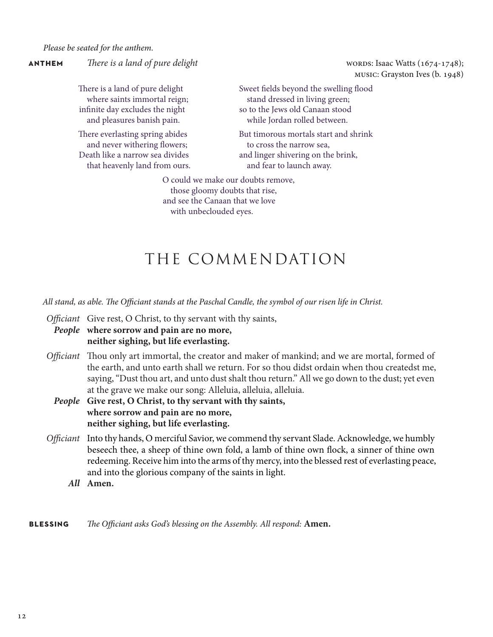*Please be seated for the anthem.*

**ANTHEM** *There is a land of pure delight There is a land of pure delight m There is a land of pure delight There is a land of pure delight There is a land of pure delight n**n**n**n**n**n**n**n*

music: Grayston Ives (b. 1948)

There is a land of pure delight where saints immortal reign; infinite day excludes the night and pleasures banish pain.

There everlasting spring abides and never withering flowers; Death like a narrow sea divides that heavenly land from ours. Sweet fields beyond the swelling flood stand dressed in living green; so to the Jews old Canaan stood while Jordan rolled between.

But timorous mortals start and shrink to cross the narrow sea, and linger shivering on the brink, and fear to launch away.

O could we make our doubts remove, those gloomy doubts that rise, and see the Canaan that we love with unbeclouded eyes.

## THE COMMENDATION

*All stand, as able. The Officiant stands at the Paschal Candle, the symbol of our risen life in Christ.* 

*Officiant* Give rest, O Christ, to thy servant with thy saints,

*People* **where sorrow and pain are no more, neither sighing, but life everlasting.**

- *Officiant* Thou only art immortal, the creator and maker of mankind; and we are mortal, formed of the earth, and unto earth shall we return. For so thou didst ordain when thou createdst me, saying, "Dust thou art, and unto dust shalt thou return." All we go down to the dust; yet even at the grave we make our song: Alleluia, alleluia, alleluia.
	- *People* **Give rest, O Christ, to thy servant with thy saints, where sorrow and pain are no more, neither sighing, but life everlasting.**
- *Officiant* Into thy hands, O merciful Savior, we commend thy servant Slade. Acknowledge, we humbly beseech thee, a sheep of thine own fold, a lamb of thine own flock, a sinner of thine own redeeming. Receive him into the arms of thy mercy, into the blessed rest of everlasting peace, and into the glorious company of the saints in light.
	- *All* **Amen.**

**blessing** *The Officiant asks God's blessing on the Assembly. All respond:* **Amen.**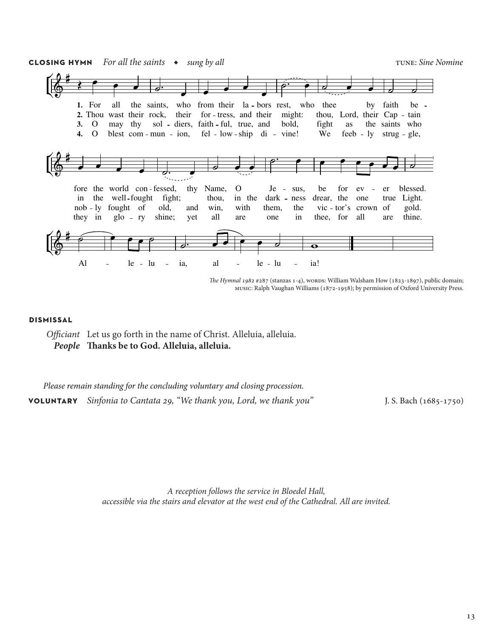

*The Hymnal 1982* #287 (stanzas 1-4), wort Ds: William Walsham How (1823-1897), public domain; music: Ralph Vaughan Williams (1872-1958); by permission of Oxford University Press.

#### **dismissal**

*Officiant* Let us go forth in the name of Christ. Alleluia, alleluia. *People* **Thanks be to God. Alleluia, alleluia.**

*Please remain standing for the concluding voluntary and closing procession.* **voluntary** *Sinfonia to Cantata 29, "We thank you, Lord, we thank you"* J. S. Bach (1685-1750)

*A reception follows the service in Bloedel Hall, accessible via the stairs and elevator at the west end of the Cathedral. All are invited.*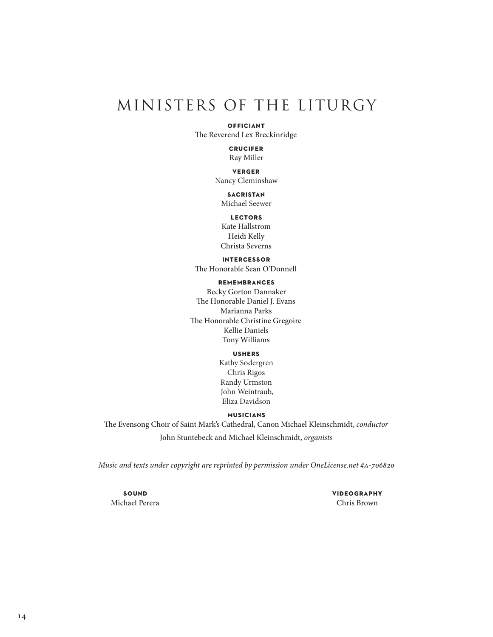## MINISTERS OF THE LITURGY

#### **officiant**

The Reverend Lex Breckinridge

**crucifer** Ray Miller

**verger** Nancy Cleminshaw

**sacristan** Michael Seewer

**lectors**

Kate Hallstrom Heidi Kelly Christa Severns

#### **intercessor**

The Honorable Sean O'Donnell

**remembrances**

Becky Gorton Dannaker The Honorable Daniel J. Evans Marianna Parks The Honorable Christine Gregoire Kellie Daniels Tony Williams

### **ushers**

Kathy Sodergren Chris Rigos Randy Urmston John Weintraub, Eliza Davidson

#### **musicians**

The Evensong Choir of Saint Mark's Cathedral, Canon Michael Kleinschmidt, *conductor* John Stuntebeck and Michael Kleinschmidt, *organists*

*Music and texts under copyright are reprinted by permission under OneLicense.net #a-706820*

**sound** Michael Perera **videography** Chris Brown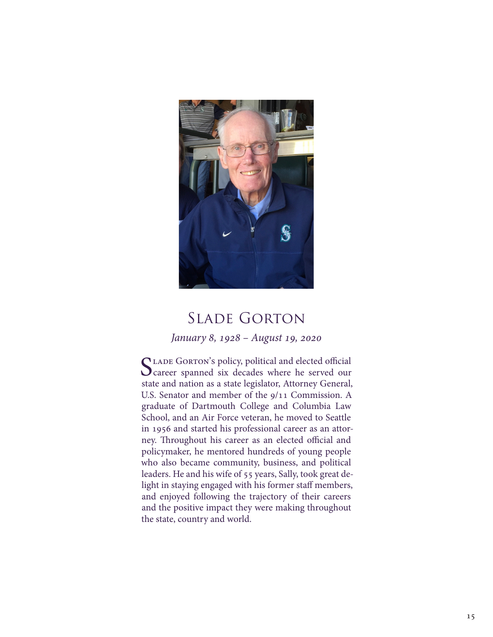

## Slade Gorton

### *January 8, 1928 – August 19, 2020*

CLADE GORTON's policy, political and elected official career spanned six decades where he served our state and nation as a state legislator, Attorney General, U.S. Senator and member of the 9/11 Commission. A graduate of Dartmouth College and Columbia Law School, and an Air Force veteran, he moved to Seattle in 1956 and started his professional career as an attorney. Throughout his career as an elected official and policymaker, he mentored hundreds of young people who also became community, business, and political leaders. He and his wife of 55 years, Sally, took great delight in staying engaged with his former staff members, and enjoyed following the trajectory of their careers and the positive impact they were making throughout the state, country and world.